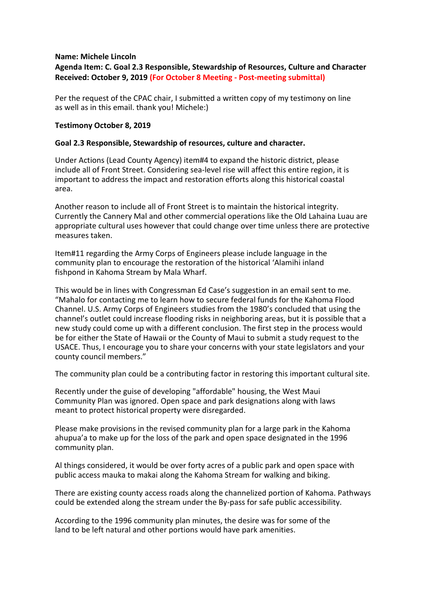## **Name: Michele Lincoln**

## **Agenda Item: C. Goal 2.3 Responsible, Stewardship of Resources, Culture and Character Received: October 9, 2019 (For October 8 Meeting - Post-meeting submittal)**

Per the request of the CPAC chair, I submitted a written copy of my testimony on line as well as in this email. thank you! Michele:)

## **Testimony October 8, 2019**

## **Goal 2.3 Responsible, Stewardship of resources, culture and character.**

Under Actions (Lead County Agency) item#4 to expand the historic district, please include all of Front Street. Considering sea-level rise will affect this entire region, it is important to address the impact and restoration efforts along this historical coastal area.

Another reason to include all of Front Street is to maintain the historical integrity. Currently the Cannery Mal and other commercial operations like the Old Lahaina Luau are appropriate cultural uses however that could change over time unless there are protective measures taken.

Item#11 regarding the Army Corps of Engineers please include language in the community plan to encourage the restoration of the historical 'Alamihi inland fishpond in Kahoma Stream by Mala Wharf.

This would be in lines with Congressman Ed Case's suggestion in an email sent to me. "Mahalo for contacting me to learn how to secure federal funds for the Kahoma Flood Channel. U.S. Army Corps of Engineers studies from the 1980's concluded that using the channel's outlet could increase flooding risks in neighboring areas, but it is possible that a new study could come up with a different conclusion. The first step in the process would be for either the State of Hawaii or the County of Maui to submit a study request to the USACE. Thus, I encourage you to share your concerns with your state legislators and your county council members."

The community plan could be a contributing factor in restoring this important cultural site.

Recently under the guise of developing "affordable" housing, the West Maui Community Plan was ignored. Open space and park designations along with laws meant to protect historical property were disregarded.

Please make provisions in the revised community plan for a large park in the Kahoma ahupua'a to make up for the loss of the park and open space designated in the 1996 community plan.

Al things considered, it would be over forty acres of a public park and open space with public access mauka to makai along the Kahoma Stream for walking and biking.

There are existing county access roads along the channelized portion of Kahoma. Pathways could be extended along the stream under the By-pass for safe public accessibility.

According to the 1996 community plan minutes, the desire was for some of the land to be left natural and other portions would have park amenities.